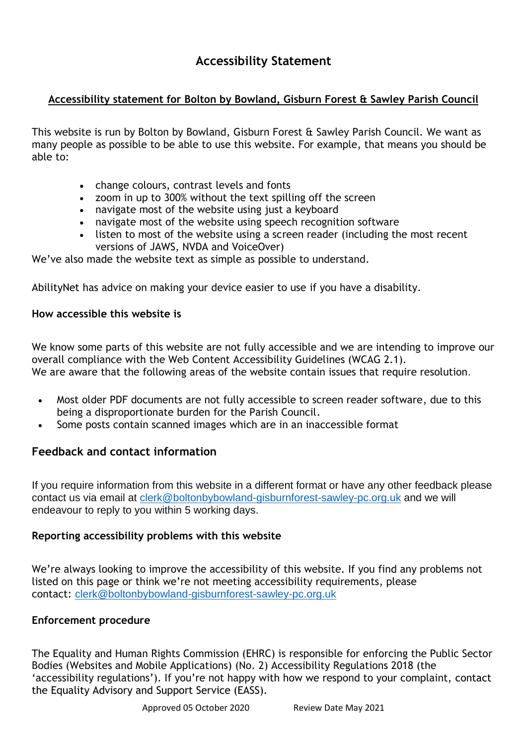# **Accessibility Statement**

# **Accessibility statement for Bolton by Bowland, Gisburn Forest & Sawley Parish Council**

This website is run by Bolton by Bowland, Gisburn Forest & Sawley Parish Council. We want as many people as possible to be able to use this website. For example, that means you should be able to:

- change colours, contrast levels and fonts
- zoom in up to 300% without the text spilling off the screen
- navigate most of the website using just a keyboard
- navigate most of the website using speech recognition software
- listen to most of the website using a screen reader (including the most recent versions of JAWS, NVDA and VoiceOver)

We've also made the website text as simple as possible to understand.

[AbilityNet](https://mcmw.abilitynet.org.uk/) has advice on making your device easier to use if you have a disability.

## **How accessible this website is**

We know some parts of this website are not fully accessible and we are intending to improve our overall compliance with the Web Content Accessibility Guidelines (WCAG 2.1). We are aware that the following areas of the website contain issues that require resolution.

- Most older PDF documents are not fully accessible to screen reader software, due to this being a disproportionate burden for the Parish Council.
- Some posts contain scanned images which are in an inaccessible format

## **Feedback and contact information**

If you require information from this website in a different format or have any other feedback please contact us via email at [clerk@boltonbybowland-gisburnforest-sawley-pc.org.uk](mailto:clerk@boltonbybowland-gisburnforest-sawley-pc.org.uk) and we will endeavour to reply to you within 5 working days.

## **Reporting accessibility problems with this website**

We're always looking to improve the accessibility of this website. If you find any problems not listed on this page or think we're not meeting accessibility requirements, please contact: [clerk@boltonbybowland-gisburnforest-sawley-pc.org.uk](mailto:clerk@boltonbybowland-gisburnforest-sawley-pc.org.uk)

## **Enforcement procedure**

The Equality and Human Rights Commission (EHRC) is responsible for enforcing the Public Sector Bodies (Websites and Mobile Applications) (No. 2) Accessibility Regulations 2018 (the 'accessibility regulations'). If you're not happy with how we respond to your complaint, [contact](https://www.equalityadvisoryservice.com/) the Equality [Advisory](https://www.equalityadvisoryservice.com/) and Support Service (EASS).